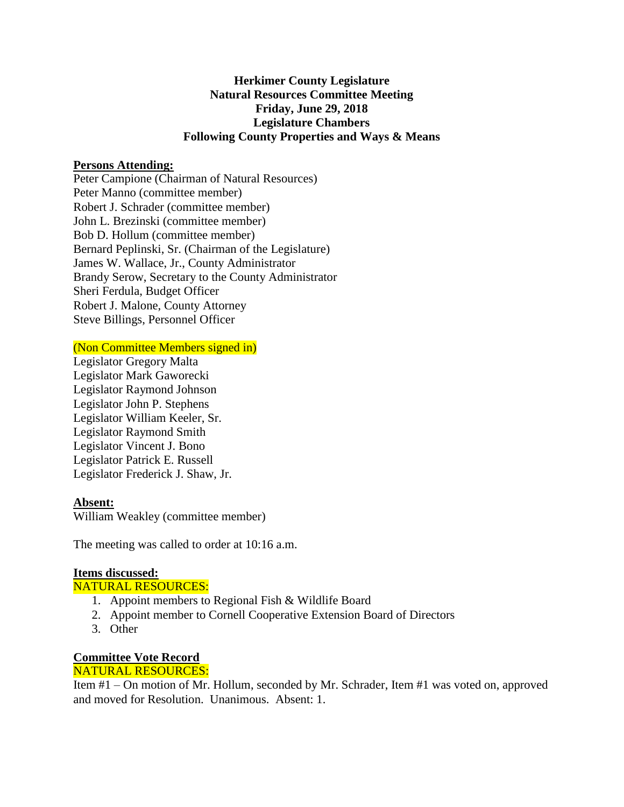# **Herkimer County Legislature Natural Resources Committee Meeting Friday, June 29, 2018 Legislature Chambers Following County Properties and Ways & Means**

#### **Persons Attending:**

Peter Campione (Chairman of Natural Resources) Peter Manno (committee member) Robert J. Schrader (committee member) John L. Brezinski (committee member) Bob D. Hollum (committee member) Bernard Peplinski, Sr. (Chairman of the Legislature) James W. Wallace, Jr., County Administrator Brandy Serow, Secretary to the County Administrator Sheri Ferdula, Budget Officer Robert J. Malone, County Attorney Steve Billings, Personnel Officer

#### (Non Committee Members signed in)

Legislator Gregory Malta Legislator Mark Gaworecki Legislator Raymond Johnson Legislator John P. Stephens Legislator William Keeler, Sr. Legislator Raymond Smith Legislator Vincent J. Bono Legislator Patrick E. Russell Legislator Frederick J. Shaw, Jr.

### **Absent:**

William Weakley (committee member)

The meeting was called to order at 10:16 a.m.

### **Items discussed:**

### NATURAL RESOURCES:

- 1. Appoint members to Regional Fish & Wildlife Board
- 2. Appoint member to Cornell Cooperative Extension Board of Directors
- 3. Other

# **Committee Vote Record**

### NATURAL RESOURCES:

Item #1 – On motion of Mr. Hollum, seconded by Mr. Schrader, Item #1 was voted on, approved and moved for Resolution. Unanimous. Absent: 1.